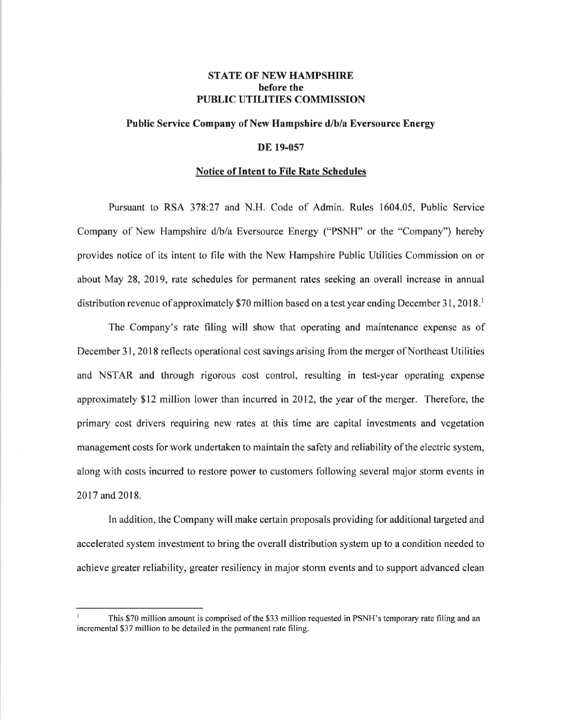## **STATE OF NEW HAMPSHIRE before the PUBLIC UTILITIES COMMISSION**

### **Public Service Company of New Hampshire d/b/a Eversource Energy**

### **DE 19-057**

#### **Notice of Intent to File Rate Schedules**

Pursuant to RSA 378:27 and N.H. Code of Admin. Rules 1604.05, Public Service Company of New Hampshire d/b/a Eversource Energy ("PSNH" or the "Company") hereby provides notice of its intent to file with the New Hampshire Public Utilities Commission on or about May 28, 2019, rate schedules for permanent rates seeking an overall increase in annual distribution revenue of approximately \$70 million based on a test year ending December 31, 2018.<sup>1</sup>

The Company's rate filing will show that operating and maintenance expense as of December 31, 2018 reflects operational cost savings arising from the merger of Northeast Utilities and NSTAR and through rigorous cost control, resulting in test-year operating expense approximately \$12 million lower than incurred in 2012, the year of the merger. Therefore, the primary cost drivers requiring new rates at this time are capital investments and vegetation management costs for work undertaken to maintain the safety and reliability of the electric system, along with costs incurred to restore power to customers following several major storm events in 2017 and 2018.

In addition, the Company will make certain proposals providing for additional targeted and accelerated system investment to bring the overall distribution system up to a condition needed to achieve greater reliability, greater resiliency in major storm events and to support advanced clean

This \$70 million amount is comprised of the \$33 million requested in PSNH's temporary rate filing and an incremental \$37 million to be detailed in the permanent rate filing.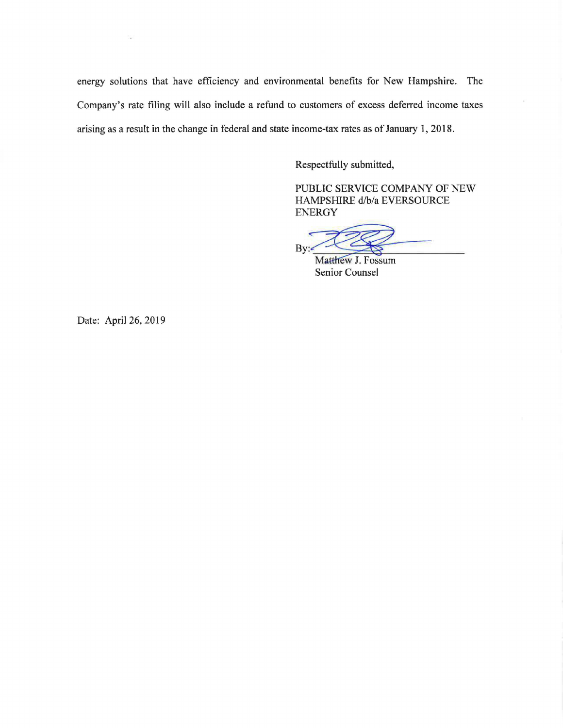energy solutions that have efficiency and environmental benefits for New Hampshire. The Company's rate filing will also include a refund to customers of excess deferred income taxes arising as a result in the change in federal and state income-tax rates as of January 1, 2018.

Respectfully submitted,

PUBLIC SERVICE COMPANY OF NEW HAMPSHIRE d/b/a EVERSOURCE ENERGY PUBLIC SERVICE COMPANY OF NEW<br>HAMPSHIRE d/b/a EVERSOURCE<br>ENERGY<br>By:<br>Matthew J. Fossum<br>Senior Counsel

Date: April 26, 2019

ΛÜ,